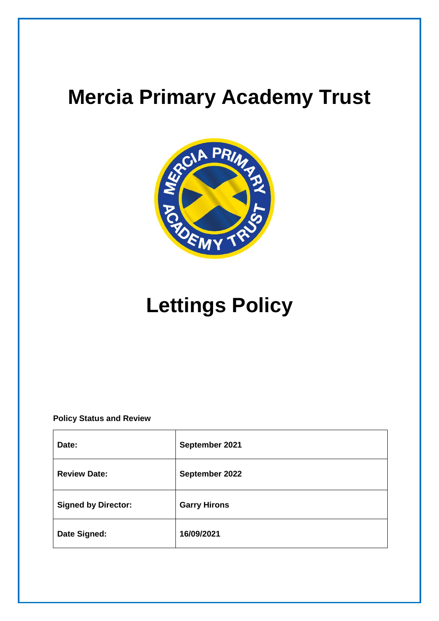# **Mercia Primary Academy Trust**



# **Lettings Policy**

**Policy Status and Review**

| Date:                      | September 2021      |
|----------------------------|---------------------|
| <b>Review Date:</b>        | September 2022      |
| <b>Signed by Director:</b> | <b>Garry Hirons</b> |
| Date Signed:               | 16/09/2021          |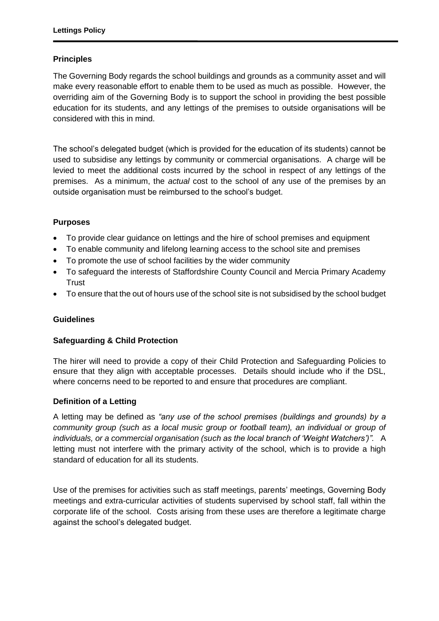# **Principles**

The Governing Body regards the school buildings and grounds as a community asset and will make every reasonable effort to enable them to be used as much as possible. However, the overriding aim of the Governing Body is to support the school in providing the best possible education for its students, and any lettings of the premises to outside organisations will be considered with this in mind.

The school's delegated budget (which is provided for the education of its students) cannot be used to subsidise any lettings by community or commercial organisations. A charge will be levied to meet the additional costs incurred by the school in respect of any lettings of the premises. As a minimum, the *actual* cost to the school of any use of the premises by an outside organisation must be reimbursed to the school's budget.

# **Purposes**

- To provide clear guidance on lettings and the hire of school premises and equipment
- To enable community and lifelong learning access to the school site and premises
- To promote the use of school facilities by the wider community
- To safeguard the interests of Staffordshire County Council and Mercia Primary Academy **Trust**
- To ensure that the out of hours use of the school site is not subsidised by the school budget

# **Guidelines**

## **Safeguarding & Child Protection**

The hirer will need to provide a copy of their Child Protection and Safeguarding Policies to ensure that they align with acceptable processes. Details should include who if the DSL, where concerns need to be reported to and ensure that procedures are compliant.

## **Definition of a Letting**

A letting may be defined as *"any use of the school premises (buildings and grounds) by a community group (such as a local music group or football team), an individual or group of individuals, or a commercial organisation (such as the local branch of 'Weight Watchers')".* A letting must not interfere with the primary activity of the school, which is to provide a high standard of education for all its students.

Use of the premises for activities such as staff meetings, parents' meetings, Governing Body meetings and extra-curricular activities of students supervised by school staff, fall within the corporate life of the school. Costs arising from these uses are therefore a legitimate charge against the school's delegated budget.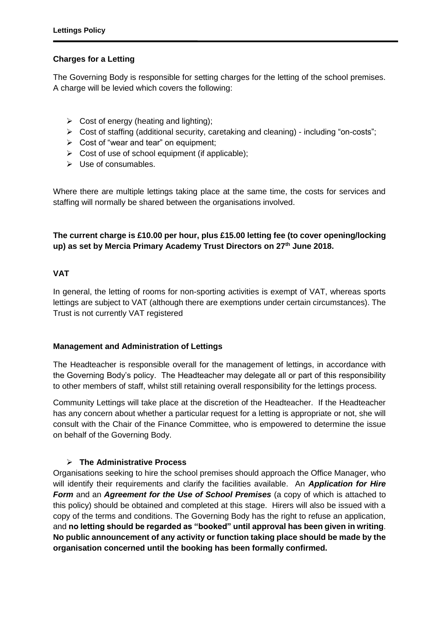# **Charges for a Letting**

The Governing Body is responsible for setting charges for the letting of the school premises. A charge will be levied which covers the following:

- $\triangleright$  Cost of energy (heating and lighting);
- Cost of staffing (additional security, caretaking and cleaning) including "on-costs";
- $\triangleright$  Cost of "wear and tear" on equipment;
- $\triangleright$  Cost of use of school equipment (if applicable);
- $\triangleright$  Use of consumables.

Where there are multiple lettings taking place at the same time, the costs for services and staffing will normally be shared between the organisations involved.

# **The current charge is £10.00 per hour, plus £15.00 letting fee (to cover opening/locking up) as set by Mercia Primary Academy Trust Directors on 27th June 2018.**

## **VAT**

In general, the letting of rooms for non-sporting activities is exempt of VAT, whereas sports lettings are subject to VAT (although there are exemptions under certain circumstances). The Trust is not currently VAT registered

## **Management and Administration of Lettings**

The Headteacher is responsible overall for the management of lettings, in accordance with the Governing Body's policy. The Headteacher may delegate all or part of this responsibility to other members of staff, whilst still retaining overall responsibility for the lettings process.

Community Lettings will take place at the discretion of the Headteacher. If the Headteacher has any concern about whether a particular request for a letting is appropriate or not, she will consult with the Chair of the Finance Committee, who is empowered to determine the issue on behalf of the Governing Body.

## **The Administrative Process**

Organisations seeking to hire the school premises should approach the Office Manager, who will identify their requirements and clarify the facilities available. An *Application for Hire Form* and an *Agreement for the Use of School Premises* (a copy of which is attached to this policy) should be obtained and completed at this stage. Hirers will also be issued with a copy of the terms and conditions. The Governing Body has the right to refuse an application, and **no letting should be regarded as "booked" until approval has been given in writing**. **No public announcement of any activity or function taking place should be made by the organisation concerned until the booking has been formally confirmed.**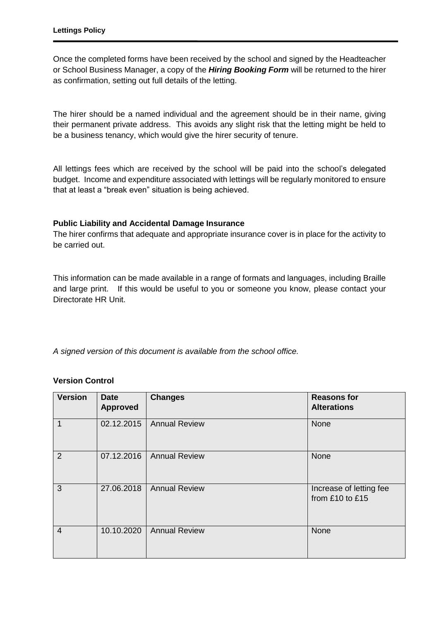Once the completed forms have been received by the school and signed by the Headteacher or School Business Manager, a copy of the *Hiring Booking Form* will be returned to the hirer as confirmation, setting out full details of the letting.

The hirer should be a named individual and the agreement should be in their name, giving their permanent private address. This avoids any slight risk that the letting might be held to be a business tenancy, which would give the hirer security of tenure.

All lettings fees which are received by the school will be paid into the school's delegated budget. Income and expenditure associated with lettings will be regularly monitored to ensure that at least a "break even" situation is being achieved.

## **Public Liability and Accidental Damage Insurance**

The hirer confirms that adequate and appropriate insurance cover is in place for the activity to be carried out.

This information can be made available in a range of formats and languages, including Braille and large print. If this would be useful to you or someone you know, please contact your Directorate HR Unit.

*A signed version of this document is available from the school office.*

## **Version Control**

| <b>Version</b> | <b>Date</b><br><b>Approved</b> | <b>Changes</b>       | <b>Reasons for</b><br><b>Alterations</b>       |
|----------------|--------------------------------|----------------------|------------------------------------------------|
| 1              | 02.12.2015                     | <b>Annual Review</b> | None                                           |
| 2              | 07.12.2016                     | <b>Annual Review</b> | None                                           |
| 3              | 27.06.2018                     | <b>Annual Review</b> | Increase of letting fee<br>from $£10$ to $£15$ |
| $\overline{4}$ | 10.10.2020                     | <b>Annual Review</b> | None                                           |